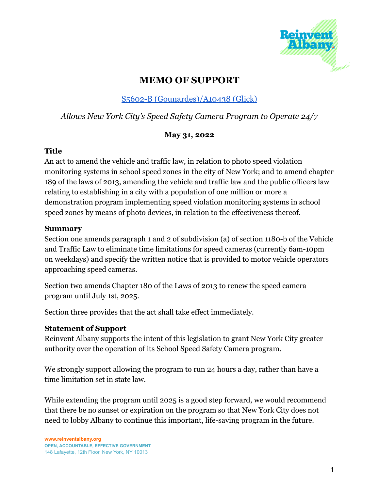

# **MEMO OF SUPPORT**

## S5602-B [\(Gounardes\)/A10438](https://www.nysenate.gov/legislation/bills/2021/s5602) (Glick)

### *Allows New York City's Speed Safety Camera Program to Operate 24/7*

#### **May 31, 2022**

#### **Title**

An act to amend the vehicle and traffic law, in relation to photo speed violation monitoring systems in school speed zones in the city of New York; and to amend chapter 189 of the laws of 2013, amending the vehicle and traffic law and the public officers law relating to establishing in a city with a population of one million or more a demonstration program implementing speed violation monitoring systems in school speed zones by means of photo devices, in relation to the effectiveness thereof.

#### **Summary**

Section one amends paragraph 1 and 2 of subdivision (a) of section 1180-b of the Vehicle and Traffic Law to eliminate time limitations for speed cameras (currently 6am-10pm on weekdays) and specify the written notice that is provided to motor vehicle operators approaching speed cameras.

Section two amends Chapter 180 of the Laws of 2013 to renew the speed camera program until July 1st, 2025.

Section three provides that the act shall take effect immediately.

#### **Statement of Support**

Reinvent Albany supports the intent of this legislation to grant New York City greater authority over the operation of its School Speed Safety Camera program.

We strongly support allowing the program to run 24 hours a day, rather than have a time limitation set in state law.

While extending the program until 2025 is a good step forward, we would recommend that there be no sunset or expiration on the program so that New York City does not need to lobby Albany to continue this important, life-saving program in the future.